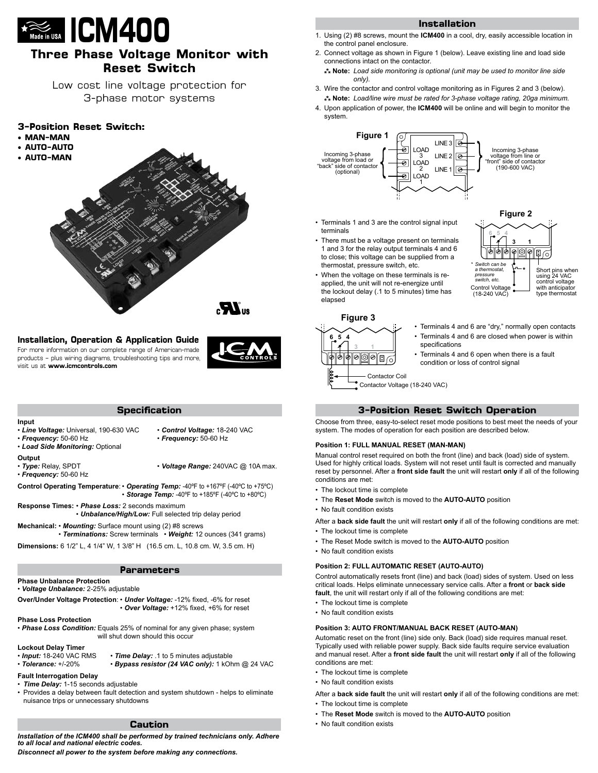

# **Three Phase Voltage Monitor with Reset Switch**

Low cost line voltage protection for 3-phase motor systems

## **3-Position Reset Switch:**

- **• MAN-MAN**
- **• AUTO-AUTO**
- **• AUTO-MAN**





## **Installation, Operation & Application Guide**

For more information on our complete range of American-made products – plus wiring diagrams, troubleshooting tips and more, visit us at **www.icmcontrols.com**

|--|

| <b>Specification</b> |
|----------------------|
|                      |

#### **Input**

- *Line Voltage:* Universal, 190-630 VAC *Control Voltage:* 18-240 VAC
- *Frequency:* 50-60 Hz *Frequency:* 50-60 Hz • *Load Side Monitoring:* Optional
- -

- **Output**<br>• Type: Relay, SPDT
- *Frequency:* 50-60 Hz

• Voltage Range: 240VAC @ 10A max.

**Control Operating Temperature**: • *Operating Temp:* -40ºF to +167ºF (-40ºC to +75ºC) • *Storage Temp:* -40ºF to +185ºF (-40ºC to +80ºC)

**Response Times:** • *Phase Loss:* 2 seconds maximum

• *Unbalance/High/Low:* Full selected trip delay period

**Mechanical:** • *Mounting:* Surface mount using (2) #8 screws

• *Terminations:* Screw terminals • *Weight:* 12 ounces (341 grams)

**Dimensions:** 6 1/2" L, 4 1/4" W, 1 3/8" H (16.5 cm. L, 10.8 cm. W, 3.5 cm. H)

## **Parameters**

**Phase Unbalance Protection**

• *Voltage Unbalance:* 2-25% adjustable

- **Over/Under Voltage Protection**: *Under Voltage:* -12% fixed, -6% for reset • *Over Voltage:* +12% fixed, +6% for reset
- **Phase Loss Protection**
- *Phase Loss Condition:* Equals 25% of nominal for any given phase; system will shut down should this occur

## **Lockout Delay Timer**

• *Input:* 18-240 VAC RMS • *Time Delay:* .1 to 5 minutes adjustable • Bypass resistor (24 VAC only): 1 kOhm @ 24 VAC

- **Fault Interrogation Delay** • *Time Delay:* 1-15 seconds adjustable
- Provides a delay between fault detection and system shutdown helps to eliminate nuisance trips or unnecessary shutdowns

## **Caution**

*Installation of the ICM400 shall be performed by trained technicians only. Adhere to all local and national electric codes.* 

*Disconnect all power to the system before making any connections.*

#### **Installation**

- 1. Using (2) #8 screws, mount the **ICM400** in a cool, dry, easily accessible location in the control panel enclosure.
- 2. Connect voltage as shown in Figure 1 (below). Leave existing line and load side connections intact on the contactor.
- **Note:** *Load side monitoring is optional (unit may be used to monitor line side only).*
- 3. Wire the contactor and control voltage monitoring as in Figures 2 and 3 (below). **Note:** *Load/line wire must be rated for 3-phase voltage rating, 20ga minimum.*
- 4. Upon application of power, the **ICM400** will be online and will begin to monitor the system.



- Terminals 1 and 3 are the control signal input terminals
- There must be a voltage present on terminals 1 and 3 for the relay output terminals 4 and 6 to close; this voltage can be supplied from a thermostat, pressure switch, etc.
- When the voltage on these terminals is reapplied, the unit will not re-energize until the lockout delay (.1 to 5 minutes) time has elapsed



• Terminals 4 and 6 are "dry," normally open contacts

**Figure 2**

**3 1**

Short pins when using 24 VAC control voltage with anticipator type thermostat

ſ0

• Terminals 4 and 6 are closed when power is within specifications

Control Volta (18-240 VAC)

*\* Switch can be a thermostat, pressure switch, etc.*

**6 5 4**

• Terminals 4 and 6 open when there is a fault condition or loss of control signal

Contactor Voltage (18-240 VAC) Contactor Coil

## **3-Position Reset Switch Operation**

Choose from three, easy-to-select reset mode positions to best meet the needs of your system. The modes of operation for each position are described below.

#### **Position 1: FULL MANUAL RESET (MAN-MAN)**

Manual control reset required on both the front (line) and back (load) side of system. Used for highly critical loads. System will not reset until fault is corrected and manually reset by personnel. After a **front side fault** the unit will restart **only** if all of the following conditions are met:

- The lockout time is complete
- The **Reset Mode** switch is moved to the **AUTO-AUTO** position
- No fault condition exists

After a **back side fault** the unit will restart **only** if all of the following conditions are met:

- The lockout time is complete
- The Reset Mode switch is moved to the **AUTO-AUTO** position
- No fault condition exists

#### **Position 2: FULL AUTOMATIC RESET (AUTO-AUTO)**

Control automatically resets front (line) and back (load) sides of system. Used on less critical loads. Helps eliminate unnecessary service calls. After a **front** or **back side fault**, the unit will restart only if all of the following conditions are met:

- The lockout time is complete
- No fault condition exists

#### **Position 3: AUTO FRONT/MANUAL BACK RESET (AUTO-MAN)**

Automatic reset on the front (line) side only. Back (load) side requires manual reset. Typically used with reliable power supply. Back side faults require service evaluation and manual reset. After a **front side fault** the unit will restart **only** if all of the following conditions are met:

- The lockout time is complete
- No fault condition exists

After a **back side fault** the unit will restart **only** if all of the following conditions are met: • The lockout time is complete

- The **Reset Mode** switch is moved to the **AUTO-AUTO** position
- No fault condition exists